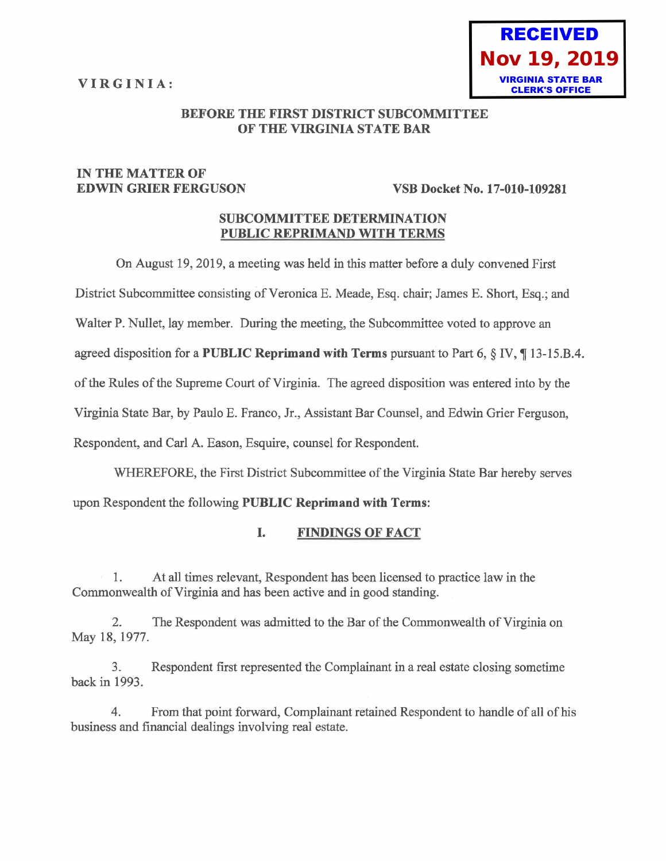**VIRGINIA:** 



## **BEFORE THE FIRST DISTRICT SUBCOMMITTEE OF THE VIRGINIA STATE BAR**

# **IN THE MATTER OF**

### **EDWIN GRIER FERGUSON VSB Docket No. 17-010-109281**

# **SUBCOMMITTEE DETERMINATION PUBLIC REPRIMAND WITH TERMS**

On August 19, 2019, a meeting was held in this matter before a duly convened First

District Subcommittee consisting of Veronica E. Meade, Esq. chair; James E. Short, Esq.; and

Walter P. Nullet, lay member. During the meeting, the Subcommittee voted to approve an

agreed disposition for a PUBLIC Reprimand with Terms pursuant to Part 6, § IV, ¶13-15.B.4.

of the Rules of the Supreme Court of Virginia. The agreed disposition was entered into by the

Virginia State Bar, by Paulo E. Franco, Jr., Assistant Bar Counsel, and Edwin Grier Ferguson,

Respondent, and Carl A. Eason, Esquire, counsel for Respondent.

WHEREFORE, the First District Subcommittee of the Virginia State Bar hereby serves

upon Respondent the following **PUBLIC Reprimand with Terms:** 

# **I. FINDINGS OF FACT**

1. At all times relevant, Respondent has been licensed to practice law in the Commonwealth of Virginia and has been active and in good standing.

2. The Respondent was admitted to the Bar of the Commonwealth of Virginia on May 18, 1977.

3. Respondent first represented the Complainant in a real estate closing sometime back in 1993.

4. From that point forward, Complainant retained Respondent to handle of all of his business and financial dealings involving real estate.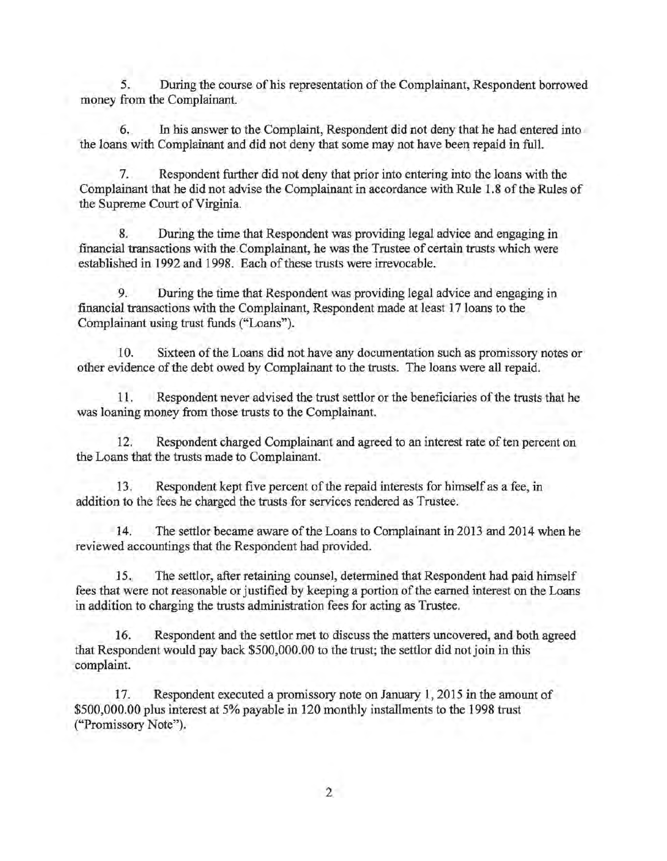5. During the course of his representation of the Complainant, Respondent borrowed money from the Complainant.

6. In his answer to the Complaint, Respondent did not deny that he had entered into the loans with Complainant and did not deny that some may not have been repaid in full.

7. Respondent further did not deny that prior into entering into the loans with the Complainant that he did not advise the Complainant in accordance with Rule 1.8 of the Rules of the Supreme Court of Virginia.

8. During the time that Respondent was providing legal advice and engaging in financial transactions with the. Complainant, he was the Trustee of certain trusts which were established in 1992 and 1998. Each of these trusts were irrevocable.

9. During the time that Respondent was providing legal advice and engaging in financial transactions with the Complainant, Respondent made at least 17 loans to the Complainant using trust funds ("Loans").

10. Sixteen of the Loans did not have any documentation such as promissory notes or other evidence of the debt owed by Complainant to the trusts. The loans were all repaid.

11. Respondent never advised the trust settlor or the beneficiaries of the trusts that he was loaning money from those trusts to the Complainant.

12. Respondent charged Complainant and agreed to an interest rate often percent on the Loans that the trusts made to Complainant.

13. Respondent kept five percent of the repaid interests for himself as a fee, in addition to the fees he charged the trusts for services rendered as Trustee.

14. . The settlor became aware of the Loans to Complainant in 2013 and 2014 when he reviewed accountings that the Respondent had provided.

15. The settlor, after retaining counsel, determined that Respondent had paid himself fees that were not reasonable or justified by keeping a portion of the earned interest on the Loans in addition to charging the trusts administration fees for acting as Trustee.

16. Respondent and the settlor met to discuss the matters uncovered, and both agreed that Respondent would pay back \$500,000.00 to the trust; the settlor did not join in this complaint.

17. Respondent executed a promissory note on January 1, 2015 in the amount of \$500,000.00 plus interest at 5% payable in 120 monthly installments to the 1998 trust ("Promissory Note").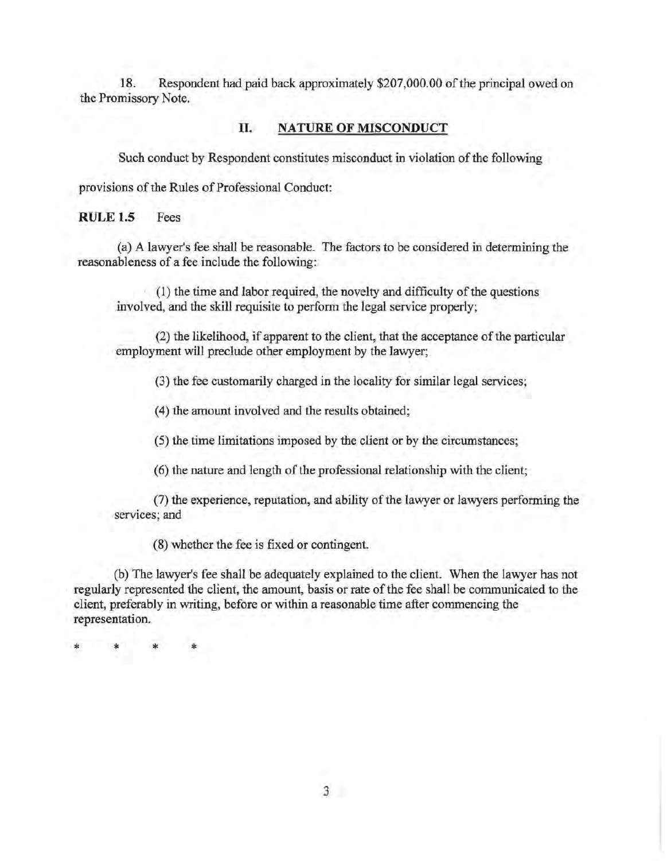18. Respondent had paid back approximately \$207,000.00 of the principal owed on the Promissory Note.

#### **II. NATURE OF MISCONDUCT**

Such conduct by Respondent constitutes misconduct in violation of the following

provisions of the Rules of Professional Conduct:

**RULE 1.5** Fees

(a) A lawyer's fee shall be reasonable. The factors to be considered in determining the reasonableness of a fee include the following:

(1) the time and labor required, the novelty and difficulty of the questions involved, and the skill requisite to perform the legal service properly;

(2) the likelihood, if apparent to the client, that the acceptance of the particular employment will preclude other employment by the lawyer;

(3) the fee customarily charged in the locality for similar legal services;

(4) the amount involved and the results obtained;

(5) the time limitations imposed by the client or by the circumstances;

(6) the nature and length of the professional relationship with the client;

(7) the experience, reputation, and ability of the lawyer or lawyers performing the services; and

(8) whether the fee is fixed or contingent.

(b) The lawyer's fee shall be adequately explained to the client. When the lawyer has not regularly represented the client, the amount, basis or rate of the fee shall be communicated to the client, preferably in writing, before or within a reasonable time after commencing the representation.

\* \* \* \*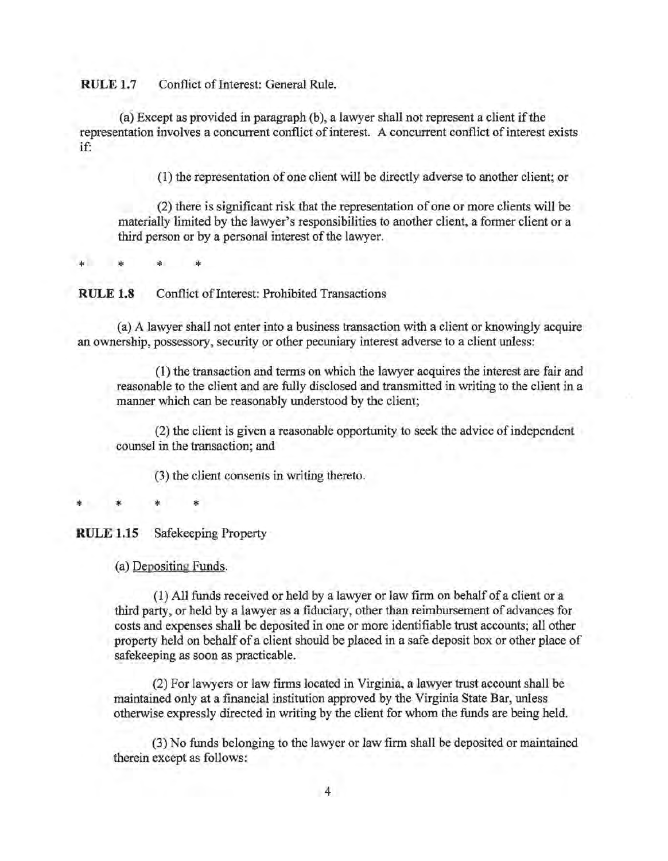**RULE 1.7** Conflict of Interest: General Rule.

(a) Except as provided in paragraph (b), a lawyer shall not represent a client if the representation involves a concurrent conflict of interest. A concurrent conflict of interest exists if:

(1) the representation of one client will be directly adverse to another client; or

(2) there is significant risk that the representation of one or more clients will be materially limited by the lawyer's responsibilities to another client, a former client or a third person or by a personal interest of the lawyer.

\* \* \* \*

**RULE 1.8** Conflict of Interest: Prohibited Transactions

(a) A lawyer shall not enter into a business transaction with a client or knowingly acquire an ownership, possessory, security or other pecuniary interest adverse to a client unless:

(1) the transaction and terms on which the lawyer acquires the interest are fair and reasonable to the client and are fully disclosed and transmitted in writing to the client in a manner which can be reasonably understood by the client;

(2) the client is given a reasonable opportunity to seek the advice of independent counsel in the transaction; and

(3) the client consents in writing thereto.

\* \* \* \*

**RULE 1.15** Safekeeping Property

(a) Depositing Funds.

( 1) All funds received or held by a lawyer or law firm on behalf of a client or a third party, or held by a lawyer as a fiduciary, other than reimbursement of advances for costs and expenses shall be deposited in one or more identifiable trust accounts; all other property held on behalf of a client should be placed in a safe deposit box or other place of safekeeping as soon as practicable.

(2) For lawyers or law firms located in Virginia, a lawyer trust account shall be maintained only at a financial institution approved by the Virginia State Bar, unless otherwise expressly directed in writing by the client for whom the funds are being held.

(3) No funds belonging to the lawyer or law firm shall be deposited or maintained therein except as follows: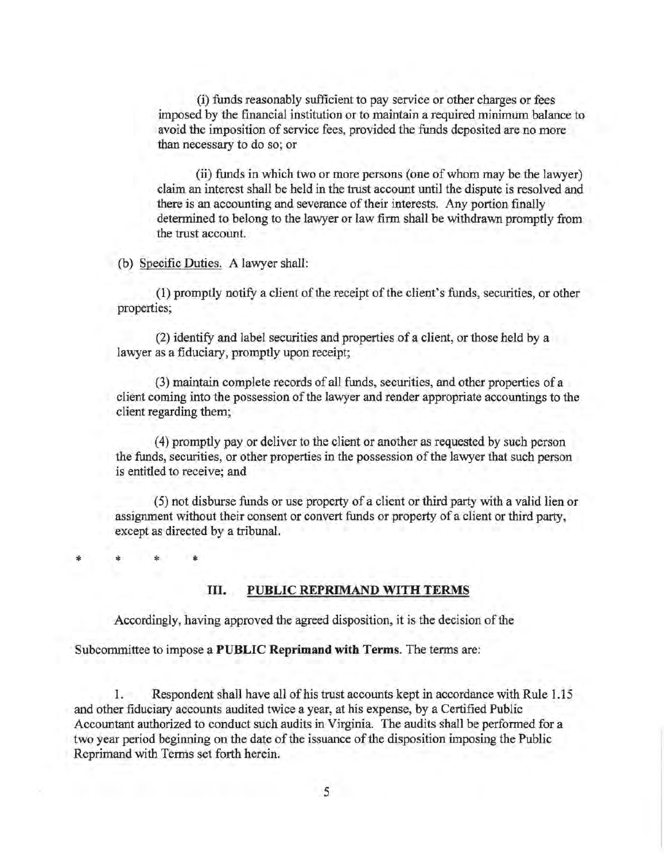(i) funds reasonably sufficient to pay service or other charges or fees imposed by the financial institution or to maintain a required minimum balance to avoid the imposition of service fees, provided the funds deposited are no more than necessary to do so; or

(ii) funds in which two or more persons (one of whom may be the lawyer) claim an interest shall be held in the trust account until the dispute is resolved and there is an accounting and severance of their interests. Any portion finally determined to belong to the lawyer or law firm shall be withdrawn promptly from the trust account.

(b) Specific Duties. A lawyer shall:

\*

\* \* \*

(1) promptly notify a client of the receipt of the client's funds, securities, or other properties;

(2) identify and label securities and properties of a client, or those held by a lawyer as a fiduciary, promptly upon receipt;

(3) maintain complete records of all funds, securities, and other properties of a client coming into the possession of the lawyer and render appropriate accountings to the client regarding them;

(4) promptly pay or deliver to the client or another as requested by such person the funds, securities, or other properties in the possession of the lawyer that such person is entitled to receive; and

(5) not disburse funds or use property of a client or third party with a valid lien or assignment without their consent or convert funds or property of a client or third party, except as directed by a tribunal.

III. **PUBLIC REPRIMAND WITH TERMS** 

Accordingly, having approved the agreed disposition, it is the decision of the

Subcommittee to impose a **PUBLIC Reprimand with Terms.** The terms are:

1. Respondent shall have all of his trust accounts kept in accordance with Rule 1.15 and other fiduciary accounts audited twice a year, at his expense, by a Certified Public Accountant authorized to conduct such audits in Virginia. The audits shall be performed for a two year period beginning on the date of the issuance of the disposition imposing the Public Reprimand with Terms set forth herein.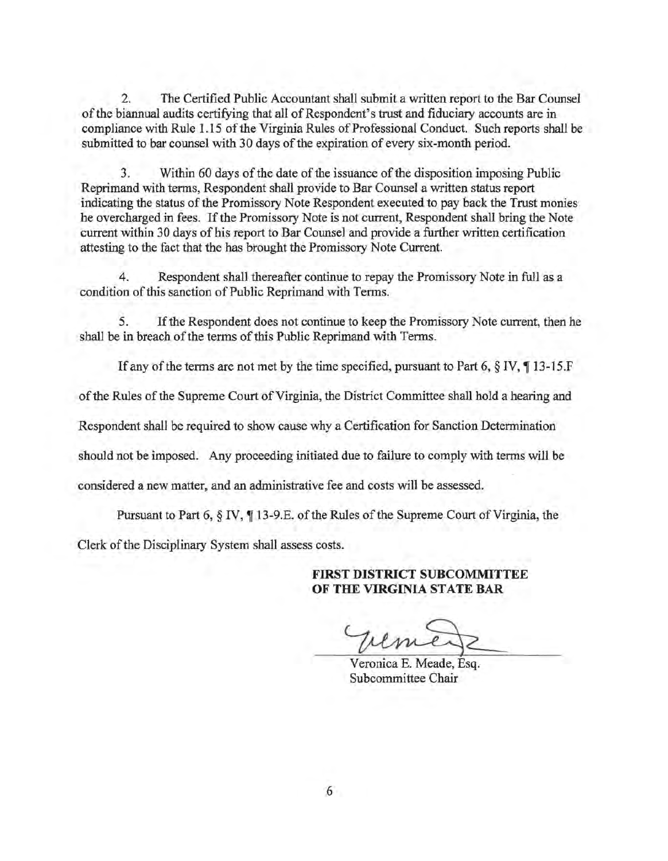2. The Certified Public Accountant shall submit a written report to the Bar Counsel of the biannual audits certifying that all of Respondent's trust and fiduciary accounts are in compliance with Rule 1.15 of the Virginia Rules of Professional Conduct. Such reports shall be submitted to bar counsel with 30 days of the expiration of every six-month period.

3. Within 60 days of the date of the issuance of the disposition imposing Public Reprimand with terms, Respondent shall provide to Bar Counsel a written status report indicating the status of the Promissory Note Respondent executed to pay back the Trust monies he overcharged in fees. If the Promissory Note is not current, Respondent shall bring the Note current within 30 days of his report to Bar Counsel and provide a further written certification attesting to the fact that the has brought the Promissory Note Current.

4. Respondent shall thereafter continue to repay the Promissory Note in full as a condition of this sanction of Public Reprimand with Terms.

5. If the Respondent does not continue to keep the Promissory Note current, then he shall be in breach of the terms of this Public Reprimand with Terms.

If any of the terms are not met by the time specified, pursuant to Part 6,  $\S$  IV,  $\P$  13-15.F

of the Rules of the Supreme Court of Virginia, the District Committee shall hold a hearing and

Respondent shall be required to show cause why a Certification for Sanction Determination

should not be imposed. Any proceeding initiated due to failure to comply with terms will be

considered a new matter, and an administrative fee and costs will be assessed.

Pursuant to Part 6,  $\S$  IV,  $\P$  13-9.E. of the Rules of the Supreme Court of Virginia, the

Clerk of the Disciplinary System shall assess costs.

# **FIRST DISTRICT SUBCOMMITTEE OF THE VIRGINIA STATE BAR**

Veronica E. Meade, Esq. Subcommittee Chair